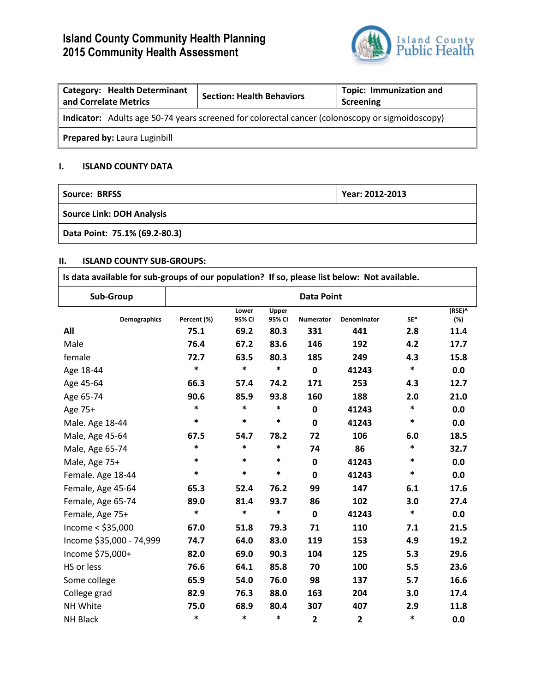# **Island County Community Health Planning 2015 Community Health Assessment**



| <b>Category: Health Determinant</b><br>and Correlate Metrics                                    | <b>Section: Health Behaviors</b> | <b>Topic: Immunization and</b><br>Screening |  |  |  |
|-------------------------------------------------------------------------------------------------|----------------------------------|---------------------------------------------|--|--|--|
| Indicator: Adults age 50-74 years screened for colorectal cancer (colonoscopy or sigmoidoscopy) |                                  |                                             |  |  |  |
| Prepared by: Laura Luginbill                                                                    |                                  |                                             |  |  |  |

# **I. ISLAND COUNTY DATA**

| Source: BRFSS                    | Year: 2012-2013 |  |  |  |  |
|----------------------------------|-----------------|--|--|--|--|
| <b>Source Link: DOH Analysis</b> |                 |  |  |  |  |
| Data Point: 75.1% (69.2-80.3)    |                 |  |  |  |  |

## **II. ISLAND COUNTY SUB-GROUPS:**

| Is data available for sub-groups of our population? If so, please list below: Not available. |                   |                 |                 |                         |                    |        |               |
|----------------------------------------------------------------------------------------------|-------------------|-----------------|-----------------|-------------------------|--------------------|--------|---------------|
| Sub-Group                                                                                    | <b>Data Point</b> |                 |                 |                         |                    |        |               |
| <b>Demographics</b>                                                                          | Percent (%)       | Lower<br>95% CI | Upper<br>95% CI | <b>Numerator</b>        | <b>Denominator</b> | SE*    | (RSE)^<br>(%) |
| All                                                                                          | 75.1              | 69.2            | 80.3            | 331                     | 441                | 2.8    | 11.4          |
| Male                                                                                         | 76.4              | 67.2            | 83.6            | 146                     | 192                | 4.2    | 17.7          |
| female                                                                                       | 72.7              | 63.5            | 80.3            | 185                     | 249                | 4.3    | 15.8          |
| Age 18-44                                                                                    | *                 | $\ast$          | *               | $\mathbf 0$             | 41243              | *      | 0.0           |
| Age 45-64                                                                                    | 66.3              | 57.4            | 74.2            | 171                     | 253                | 4.3    | 12.7          |
| Age 65-74                                                                                    | 90.6              | 85.9            | 93.8            | 160                     | 188                | 2.0    | 21.0          |
| Age 75+                                                                                      | $\ast$            | $\ast$          | $\ast$          | $\mathbf 0$             | 41243              | $\ast$ | 0.0           |
| Male. Age 18-44                                                                              | $\ast$            | $\ast$          | $\ast$          | $\mathbf 0$             | 41243              | $\ast$ | 0.0           |
| Male, Age 45-64                                                                              | 67.5              | 54.7            | 78.2            | 72                      | 106                | 6.0    | 18.5          |
| Male, Age 65-74                                                                              | $\ast$            | $\ast$          | $\ast$          | 74                      | 86                 | *      | 32.7          |
| Male, Age 75+                                                                                | $\ast$            | *               | $\ast$          | 0                       | 41243              | $\ast$ | 0.0           |
| Female. Age 18-44                                                                            | $\ast$            | $\ast$          | $\ast$          | $\mathbf 0$             | 41243              | $\ast$ | 0.0           |
| Female, Age 45-64                                                                            | 65.3              | 52.4            | 76.2            | 99                      | 147                | 6.1    | 17.6          |
| Female, Age 65-74                                                                            | 89.0              | 81.4            | 93.7            | 86                      | 102                | 3.0    | 27.4          |
| Female, Age 75+                                                                              | $\ast$            | $\ast$          | *               | $\mathbf 0$             | 41243              | $\ast$ | 0.0           |
| Income $<$ \$35,000                                                                          | 67.0              | 51.8            | 79.3            | 71                      | 110                | 7.1    | 21.5          |
| Income \$35,000 - 74,999                                                                     | 74.7              | 64.0            | 83.0            | 119                     | 153                | 4.9    | 19.2          |
| Income \$75,000+                                                                             | 82.0              | 69.0            | 90.3            | 104                     | 125                | 5.3    | 29.6          |
| HS or less                                                                                   | 76.6              | 64.1            | 85.8            | 70                      | 100                | 5.5    | 23.6          |
| Some college                                                                                 | 65.9              | 54.0            | 76.0            | 98                      | 137                | 5.7    | 16.6          |
| College grad                                                                                 | 82.9              | 76.3            | 88.0            | 163                     | 204                | 3.0    | 17.4          |
| NH White                                                                                     | 75.0              | 68.9            | 80.4            | 307                     | 407                | 2.9    | 11.8          |
| <b>NH Black</b>                                                                              | $\ast$            | $\ast$          | *               | $\overline{\mathbf{2}}$ | $\overline{2}$     | $\ast$ | 0.0           |